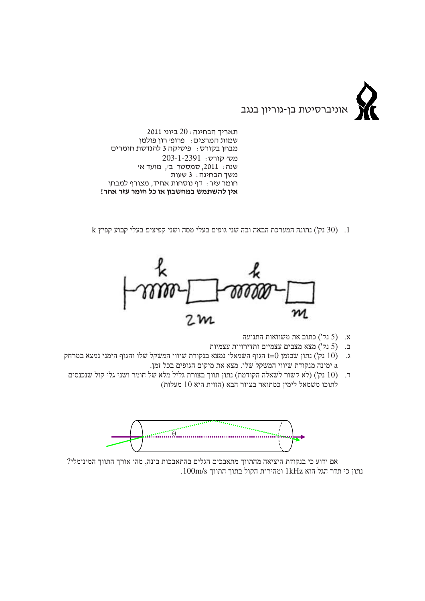

תאריד הבחינה: 20 ביוני 2011 שמות המרצים: פרופ׳ רון פולמן מבחן בקורס: פיסיקה 3 להנדסת חומרים מסי קורס: 203-1-2391 שנה: 2011, סמסטר ב׳, מועד א׳ משך הבחינה: 3 שעות חומר עזר: דף נוסחות אחיד, מצורף למבחן אין להשתמש במחשבון או כל חומר עזר אחר!

 $\rm k$ וכוע קבוע הבאה ובה שני גופים בעלי מסה ושני הפיצים בעלי קבוע המערכת ל-1



- התנועה התנועה (5 נק') א.
- ב. (5 נק') מצא מצבים עצמיים ותדירויות עצמיות
- ג. (10 נק') נתון שבזמן t=0 הגוף השמאלי נמצא בנקודת שיווי המשקל שלו והגוף הימני נמצא במרחק .<br/> ימינה מנקודת שיווי המשקל שלו. מצא את מיקום הגופים בכל זמן
- ד. (10 נק') (לא קשור לשאלה הקודמת) נתון תווך בצורת גליל מלא של חומר ושני גלי קול שנכנסים לתוכו משמאל לימין כמתואר בציור הבא (הזוית היא 10 מעלות)



אם ידוע כי בנקודת היציאה מהתווך מתאבכים הגלים בהתאבכות בונה, מהו אורך התווך המינימלי?  $100$ נתון כי תדר הגל הוא 1kHz ומהירות הקול בתוך התווך 100m/s.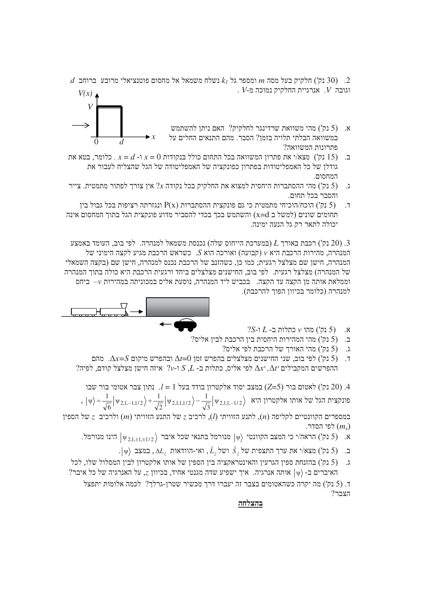$d$ . (30 נק') חלקיק בעל מסה  $m$  ומספר גל $\lambda_j$  נשלח משמאל אל מחסום פוטנציאלי מרובע ברוחב  $(30)$ .  $V$ וגובה א. אנרגיית החלקיק נמוכה מ-V  $V(x)$ 

> יתן להשתמש (5 נק') מהי משוואת שרדינגר לחלקיק? האם ניתן להשתמש במשוואה הבלתי תלויה בזמן? הסבר. מהם התנאים החלים על  $\blacktriangleright x$



- פתרונות המשוואה? ב. (15 נק') מצא/י את פתרון המשוואה בכל התחום כולל בנקודות 0 =  $x - d - x = 0$ . כלומר, בטא את גודלו של כל האמפליטודות בפתרוו כפונקציה של האמפליטודה של הגל שהצליח לעבור את המחסום.
- ג. (5 נק') מהי ההסתברות היחסית למצוא את החלקיק בכל נקודה  $2x$  אין צורך לפתור מתמטית. צייר והסבר בכל תחום.
- ינגזרתה רציפות בכל גבול בין P(x) ונגזרתה אהסתברות (5 בק') הוכח/הוכיחי מתמטית כי גם פונקצית ההסתבול בין  $\overline{\phantom{a}}$ המחומים שונים (למשל ב x=d) והשתמש בכך בכדי להסביר מדוע פונקצית הגל בתוך המחסום אינה יכולה לתאר רק גל הנעה ימינה.

באמצע (20 נק') הכבת האורך  $L$  (במערכת הייחוס שלה) נכנסת משמאל למנהרה. לפי בוב, העומד באמצע  $(20)$  המנהרה, מהירות הרכבת היא  $v$  (קבועה) ואורכה הוא S. כשראש הרכבת מגיע לקצה הימיני של המנהרה. חישו שם מצלצל רגעית: כמו כו. כשהזנב של הרכבת נכנס למנהרה. חישו שם (בקצה השמאלי של המנהרה) מצלצל רגעית. לפי בוב. החישנים מצלצלים ביחד ורגעית הרכבת היא כולה בתוד המנהרה וממלאת אותה מן הקצה עד הקצה. בכביש ליד המנהרה, נוסעת אליס במכוניתה במהירות v– ביחס למנהרה (כלומר בכיוון הפוך להרכבת).



- $2S L L$ א. (5 נק') מהו $v$  מהו
- "ב. (5 נק') מהי המהירות היחסית בין הרכבת לבין אליס
	- יס? נק') מהי האורך של הרכבת לפי אליס.
- ר. (5 נק') לפי בוב, שני החישנים מצלצלים בהפרש זמן  $\Delta t=0$  ובהפרש מיקום  $\Delta x=$ . מהם לפיה למיה ב-  $S, L$  - ההפרשים המקבילים  $\Delta x'$ , למי אליס, כתלות ב- הא $\Delta t'$  המקבילים המקבילים המ

נמי בור שבו לאטומי  $l = 1$  במצב יסוד הלקטרון בודד בעל בור לאטומי בור לאטום בור (Z=5). נק') במצב יסוד ה ,  $|\psi\rangle = \frac{1}{\sqrt{6}} |\psi_{2,1,-1,1/2}\rangle + \frac{1}{\sqrt{2}} |\psi_{2,1,1,1/2}\rangle - \frac{1}{\sqrt{3}} |\psi_{2,1,1,-1/2}\rangle$  אותו אלקטרון אל

במספרים הקוונטיים לקליפה (n), לתנע הזוויתי (l), לרכיב  $z$  של התנע הזוויתי (m) ולרכיב  $z$  של הספין לפי הסדר.  $(m_{\rm s})$ 

- הינו מנורמל. (5 נק') הראה/י כי המצב הקוונטי  $|\psi\rangle$  מנורמל בתנאי שכל איבר  $|\psi_{2,1+1+1/2}\rangle$  הינו מנורמל.
	- .  $|\psi\rangle$ במצב , <br/>ו $\Delta L_z$  ואי-הוודאות ,  $\hat{L}_z$ ושל ,  $\hat{S}_z$ ו<br/> ואת ערך התצפית התצפית התצפית התצפית התצפית התצפית התצפית הת
- ג. (5 נק') בהזנחת ספין הגרעין והאינטראקציה בין הספין של אותו אלקטרון לבין המסלול שלו, לכל ? האיברים ב- $|\psi\rangle$  אותה אנרגיה. איך ישפיע שדה מגנטי אחיד, בכיוון 2, על האנרגיה של כל איבר

ד. (5 נק') מה יקרה כשהאטומים בצבר זה יעברו דרד מכשיר שטרו-גרלד? לכמה אלומות יתפצל  $?$ הצבר

בהצלחה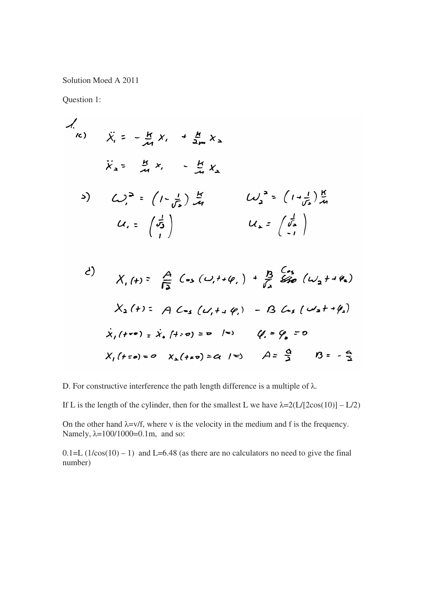Solution Moed A 2011

Question 1:

$$
\begin{array}{lll}\n\lambda & \lambda & \lambda & = -\frac{1}{24} \lambda_1 + \frac{1}{24} \lambda_2 \\
\lambda_2 & \lambda_3 & = \frac{11}{24} \lambda_1 - \frac{11}{24} \lambda_2 \\
\lambda_3 & \lambda_4 & = \frac{11}{24} \lambda_1 - \frac{11}{24} \lambda_2 \\
\lambda_4 & = \left(\frac{1}{25}\right) \frac{11}{24} & \lambda_4 & = \left(\frac{1}{25}\right) \frac{11}{24} \\
\lambda_5 & \lambda_6 & = \left(\frac{1}{25}\right) & \lambda_7 & \lambda_8\n\end{array}
$$

d)  
\n
$$
X_1(t) = \frac{A}{12} (s_3(u, t+\varphi_1) + \frac{B}{12} \frac{Cs_3}{S_{10}}(u_2 + t\varphi_2)
$$
  
\n $X_2(t) = A C_{13}(u, t+\varphi_1) - B C_{13}(u_2 + t\varphi_2)$   
\n $\dot{X}_1(t+e) = \dot{X}_2(t+e) = e^{-1-e_1} (t-e_2 - e_1)$   
\n $X_1(t+e) = e^{-1} X_2(t+e) = e_1 + e_2$   
\n $A = \frac{A}{2} (B = -\frac{A}{2})$ 

D. For constructive interference the path length difference is a multiple of  $\lambda$ .

If L is the length of the cylinder, then for the smallest L we have  $\lambda = 2(L/[2\cos(10)] - L/2)$ 

On the other hand  $\lambda = v/f$ , where v is the velocity in the medium and f is the frequency. Namely,  $\lambda=100/1000=0.1$ m, and so:

 $0.1=L$  ( $1/\cos(10) - 1$ ) and L=6.48 (as there are no calculators no need to give the final number)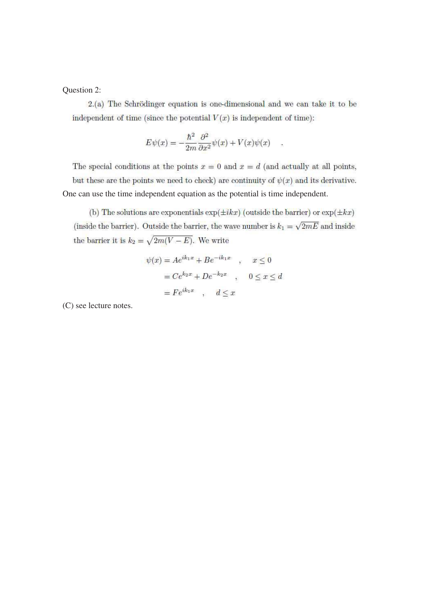Question 2:

2.(a) The Schrödinger equation is one-dimensional and we can take it to be independent of time (since the potential  $V(x)$  is independent of time):

$$
E\psi(x) = -\frac{\hbar^2}{2m}\frac{\partial^2}{\partial x^2}\psi(x) + V(x)\psi(x) \quad .
$$

The special conditions at the points  $x = 0$  and  $x = d$  (and actually at all points, but these are the points we need to check) are continuity of  $\psi(x)$  and its derivative. One can use the time independent equation as the potential is time independent.

(b) The solutions are exponentials  $\exp(\pm ikx)$  (outside the barrier) or  $\exp(\pm kx)$ (inside the barrier). Outside the barrier, the wave number is  $k_1 = \sqrt{2mE}$  and inside the barrier it is  $k_2 = \sqrt{2m(V-E)}$ . We write

$$
\psi(x) = Ae^{ik_1x} + Be^{-ik_1x} \quad , \quad x \le 0
$$

$$
= Ce^{k_2x} + De^{-k_2x} \quad , \quad 0 \le x \le d
$$

$$
= Fe^{ik_1x} \quad , \quad d \le x
$$

(C) see lecture notes.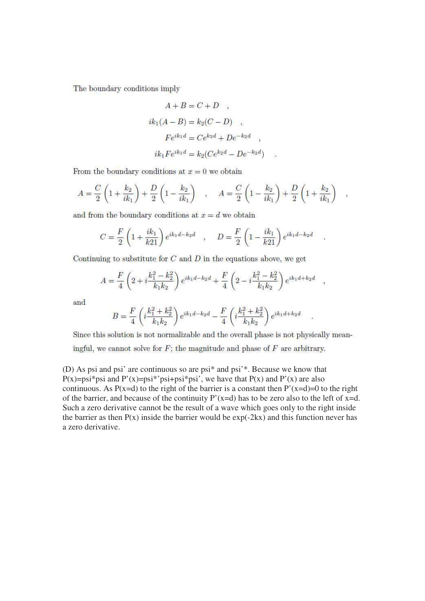The boundary conditions imply

$$
A + B = C + D \quad ,
$$
  
\n
$$
ik_1(A - B) = k_2(C - D) \quad ,
$$
  
\n
$$
Fe^{ik_1d} = Ce^{k_2d} + De^{-k_2d} \quad ,
$$
  
\n
$$
ik_1 Fe^{ik_1d} = k_2(Ce^{k_2d} - De^{-k_2d})
$$

From the boundary conditions at  $x = 0$  we obtain

$$
A = \frac{C}{2} \left( 1 + \frac{k_2}{ik_1} \right) + \frac{D}{2} \left( 1 - \frac{k_2}{ik_1} \right) , \quad A = \frac{C}{2} \left( 1 - \frac{k_2}{ik_1} \right) + \frac{D}{2} \left( 1 + \frac{k_2}{ik_1} \right) ,
$$

and from the boundary conditions at  $x = d$  we obtain

$$
C = \frac{F}{2} \left( 1 + \frac{ik_1}{k21} \right) e^{ik_1d - k_2d} \quad , \quad D = \frac{F}{2} \left( 1 - \frac{ik_1}{k21} \right) e^{ik_1d - k_2d}
$$

Continuing to substitute for  $C$  and  $D$  in the equations above, we get

$$
A = \frac{F}{4} \left( 2 + i \frac{k_1^2 - k_2^2}{k_1 k_2} \right) e^{ik_1 d - k_2 d} + \frac{F}{4} \left( 2 - i \frac{k_1^2 - k_2^2}{k_1 k_2} \right) e^{ik_1 d + k_2 d} ,
$$

and

$$
B = \frac{F}{4} \left( i \frac{k_1^2 + k_2^2}{k_1 k_2} \right) e^{ik_1 d - k_2 d} - \frac{F}{4} \left( i \frac{k_1^2 + k_2^2}{k_1 k_2} \right) e^{ik_1 d + k_2 d}
$$

Since this solution is not normalizable and the overall phase is not physically mean-

ingful, we cannot solve for  $F$ ; the magnitude and phase of  $F$  are arbitrary.

(D) As psi and psi' are continuous so are psi<sup>\*</sup> and psi<sup>\*</sup>. Because we know that  $P(x)=psi*psi$  and  $P'(x)=psi*psi+psi*psi$ , we have that  $P(x)$  and  $P'(x)$  are also continuous. As  $P(x=d)$  to the right of the barrier is a constant then  $P'(x=d)=0$  to the right of the barrier, and because of the continuity  $P'(x=d)$  has to be zero also to the left of  $x=d$ . Such a zero derivative cannot be the result of a wave which goes only to the right inside the barrier as then  $P(x)$  inside the barrier would be  $exp(-2kx)$  and this function never has a zero derivative.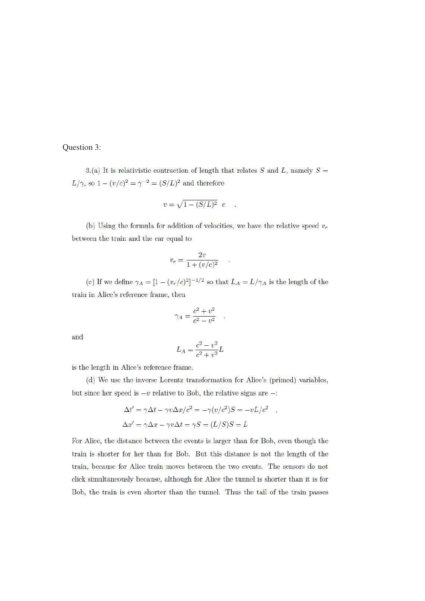## Question 3:

3.(a) It is relativistic contraction of length that relates S and L, namely  $S =$  $L/\gamma$ , so  $1-(v/c)^2=\gamma^{-2}=(S/L)^2$  and therefore

$$
v = \sqrt{1 - (S/L)^2} c
$$

(b) Using the formula for addition of velocities, we have the relative speed  $v_r$ between the train and the car equal to

$$
v_r = \frac{2v}{1 + (v/c)^2} \qquad .
$$

(c) If we define  $\gamma_A = [1 - (v_r/c)^2]^{-1/2}$  so that  $L_A = L/\gamma_A$  is the length of the train in Alice's reference frame, then

$$
\gamma_A = \frac{c^2 + v^2}{c^2 - v^2} \quad ,
$$

and

$$
L_A = \frac{c^2 - v^2}{c^2 + v^2}L
$$

is the length in Alice's reference frame.

(d) We use the inverse Lorentz transformation for Alice's (primed) variables, but since her speed is  $-v$  relative to Bob, the relative signs are  $-$ :

$$
\Delta t' = \gamma \Delta t - \gamma v \Delta x / c^2 = -\gamma (v/c^2) S = -vL/c^2 ,
$$
  

$$
\Delta x' = \gamma \Delta x - \gamma v \Delta t = \gamma S = (L/S) S = L
$$

For Alice, the distance between the events is larger than for Bob, even though the train is shorter for her than for Bob. But this distance is not the length of the train, because for Alice train moves between the two events. The sensors do not click simultaneously because, although for Alice the tunnel is shorter than it is for Bob, the train is even shorter than the tunnel. Thus the tail of the train passes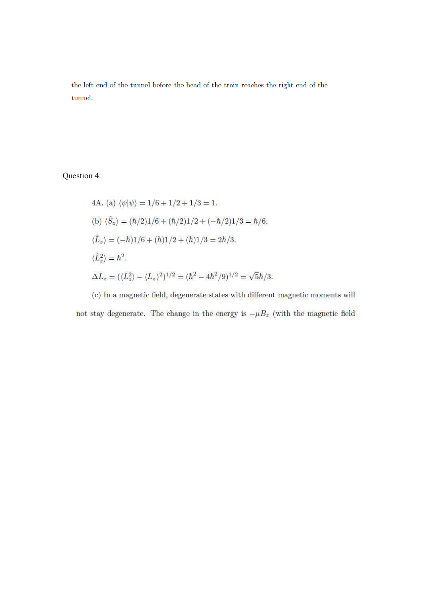the left end of the tunnel before the head of the train reaches the right end of the tunnel.

Question 4:

4A. (a) 
$$
\langle \psi | \psi \rangle = 1/6 + 1/2 + 1/3 = 1
$$
.  
\n(b)  $\langle \hat{S}_z \rangle = (\hbar/2)1/6 + (\hbar/2)1/2 + (-\hbar/2)1/3 = \hbar/6$ .  
\n $\langle \hat{L}_z \rangle = (-\hbar)1/6 + (\hbar)1/2 + (\hbar)1/3 = 2\hbar/3$ .  
\n $\langle \hat{L}_z^2 \rangle = \hbar^2$ .  
\n $\Delta L_z = (\langle L_z^2 \rangle - \langle L_z \rangle^2)^{1/2} = (\hbar^2 - 4\hbar^2/9)^{1/2} = \sqrt{5}\hbar/3$ .

(c) In a magnetic field, degenerate states with different magnetic moments will not stay degenerate. The change in the energy is  $-\mu B_z$  (with the magnetic field